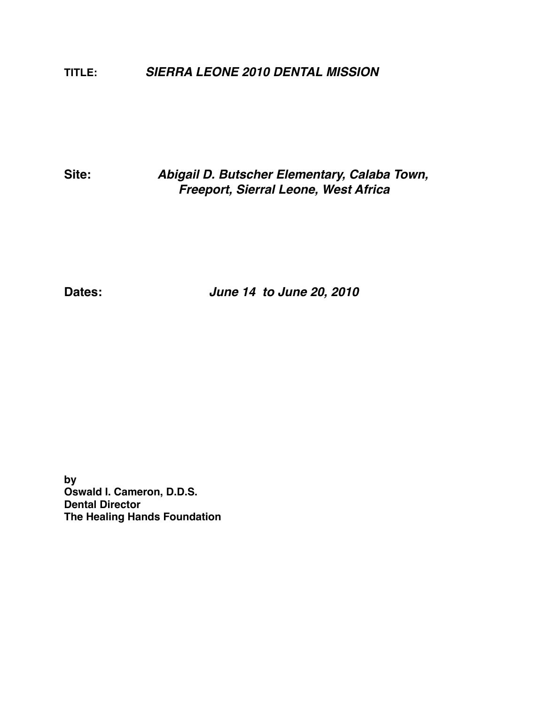**TITLE:** *SIERRA LEONE 2010 DENTAL MISSION* 

**Site:** *Abigail D. Butscher Elementary, Calaba Town, Freeport, Sierral Leone, West Africa* 

**Dates:** *June 14 to June 20, 2010*

**by Oswald I. Cameron, D.D.S. Dental Director The Healing Hands Foundation**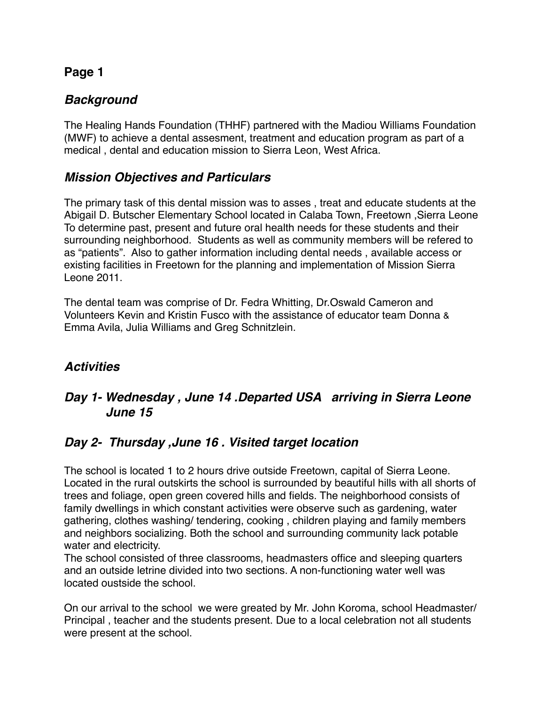# *Background*

The Healing Hands Foundation (THHF) partnered with the Madiou Williams Foundation (MWF) to achieve a dental assesment, treatment and education program as part of a medical , dental and education mission to Sierra Leon, West Africa.

### *Mission Objectives and Particulars*

The primary task of this dental mission was to asses , treat and educate students at the Abigail D. Butscher Elementary School located in Calaba Town, Freetown ,Sierra Leone To determine past, present and future oral health needs for these students and their surrounding neighborhood. Students as well as community members will be refered to as "patients". Also to gather information including dental needs , available access or existing facilities in Freetown for the planning and implementation of Mission Sierra Leone 2011.

The dental team was comprise of Dr. Fedra Whitting, Dr.Oswald Cameron and Volunteers Kevin and Kristin Fusco with the assistance of educator team Donna & Emma Avila, Julia Williams and Greg Schnitzlein.

### *Activities*

# *Day 1- Wednesday , June 14 .Departed USA arriving in Sierra Leone June 15*

### *Day 2- Thursday ,June 16 . Visited target location*

The school is located 1 to 2 hours drive outside Freetown, capital of Sierra Leone. Located in the rural outskirts the school is surrounded by beautiful hills with all shorts of trees and foliage, open green covered hills and fields. The neighborhood consists of family dwellings in which constant activities were observe such as gardening, water gathering, clothes washing/ tendering, cooking , children playing and family members and neighbors socializing. Both the school and surrounding community lack potable water and electricity.

The school consisted of three classrooms, headmasters office and sleeping quarters and an outside letrine divided into two sections. A non-functioning water well was located oustside the school.

On our arrival to the school we were greated by Mr. John Koroma, school Headmaster/ Principal , teacher and the students present. Due to a local celebration not all students were present at the school.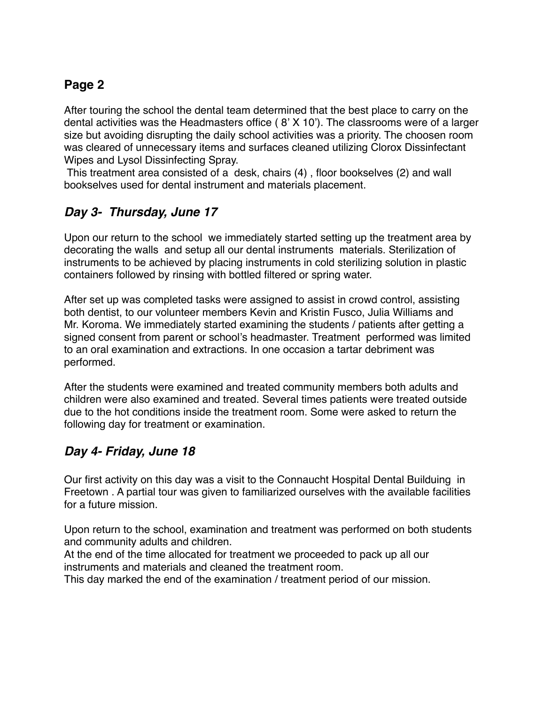After touring the school the dental team determined that the best place to carry on the dental activities was the Headmasters office ( 8' X 10'). The classrooms were of a larger size but avoiding disrupting the daily school activities was a priority. The choosen room was cleared of unnecessary items and surfaces cleaned utilizing Clorox Dissinfectant Wipes and Lysol Dissinfecting Spray.

 This treatment area consisted of a desk, chairs (4) , floor bookselves (2) and wall bookselves used for dental instrument and materials placement.

# *Day 3- Thursday, June 17*

Upon our return to the school we immediately started setting up the treatment area by decorating the walls and setup all our dental instruments materials. Sterilization of instruments to be achieved by placing instruments in cold sterilizing solution in plastic containers followed by rinsing with bottled filtered or spring water.

After set up was completed tasks were assigned to assist in crowd control, assisting both dentist, to our volunteer members Kevin and Kristin Fusco, Julia Williams and Mr. Koroma. We immediately started examining the students / patients after getting a signed consent from parent or school's headmaster. Treatment performed was limited to an oral examination and extractions. In one occasion a tartar debriment was performed.

After the students were examined and treated community members both adults and children were also examined and treated. Several times patients were treated outside due to the hot conditions inside the treatment room. Some were asked to return the following day for treatment or examination.

### *Day 4- Friday, June 18*

Our first activity on this day was a visit to the Connaucht Hospital Dental Builduing in Freetown . A partial tour was given to familiarized ourselves with the available facilities for a future mission.

Upon return to the school, examination and treatment was performed on both students and community adults and children.

At the end of the time allocated for treatment we proceeded to pack up all our instruments and materials and cleaned the treatment room.

This day marked the end of the examination / treatment period of our mission.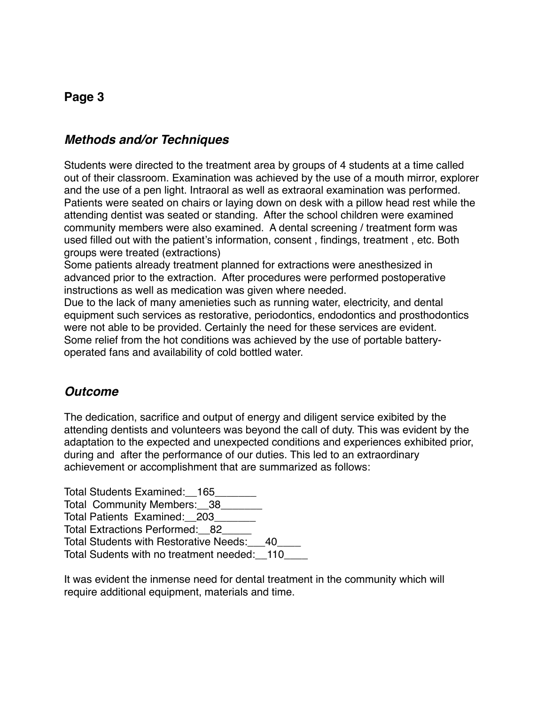#### *Methods and/or Techniques*

Students were directed to the treatment area by groups of 4 students at a time called out of their classroom. Examination was achieved by the use of a mouth mirror, explorer and the use of a pen light. Intraoral as well as extraoral examination was performed. Patients were seated on chairs or laying down on desk with a pillow head rest while the attending dentist was seated or standing. After the school children were examined community members were also examined. A dental screening / treatment form was used filled out with the patient's information, consent , findings, treatment , etc. Both groups were treated (extractions)

Some patients already treatment planned for extractions were anesthesized in advanced prior to the extraction. After procedures were performed postoperative instructions as well as medication was given where needed.

Due to the lack of many amenieties such as running water, electricity, and dental equipment such services as restorative, periodontics, endodontics and prosthodontics were not able to be provided. Certainly the need for these services are evident. Some relief from the hot conditions was achieved by the use of portable batteryoperated fans and availability of cold bottled water.

#### *Outcome*

The dedication, sacrifice and output of energy and diligent service exibited by the attending dentists and volunteers was beyond the call of duty. This was evident by the adaptation to the expected and unexpected conditions and experiences exhibited prior, during and after the performance of our duties. This led to an extraordinary achievement or accomplishment that are summarized as follows:

Total Students Examined: 165 Total Community Members: 38 Total Patients Examined: 203 Total Extractions Performed: 82 Total Students with Restorative Needs:\_\_\_40\_\_\_\_ Total Sudents with no treatment needed: 110

It was evident the inmense need for dental treatment in the community which will require additional equipment, materials and time.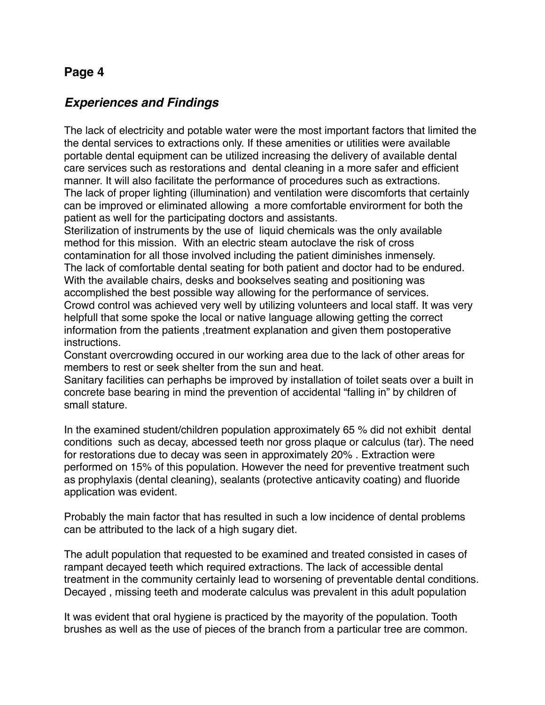#### *Experiences and Findings*

The lack of electricity and potable water were the most important factors that limited the the dental services to extractions only. If these amenities or utilities were available portable dental equipment can be utilized increasing the delivery of available dental care services such as restorations and dental cleaning in a more safer and efficient manner. It will also facilitate the performance of procedures such as extractions. The lack of proper lighting (illumination) and ventilation were discomforts that certainly can be improved or eliminated allowing a more comfortable envirorment for both the patient as well for the participating doctors and assistants.

Sterilization of instruments by the use of liquid chemicals was the only available method for this mission. With an electric steam autoclave the risk of cross contamination for all those involved including the patient diminishes inmensely. The lack of comfortable dental seating for both patient and doctor had to be endured. With the available chairs, desks and bookselves seating and positioning was accomplished the best possible way allowing for the performance of services.

Crowd control was achieved very well by utilizing volunteers and local staff. It was very helpfull that some spoke the local or native language allowing getting the correct information from the patients ,treatment explanation and given them postoperative instructions.

Constant overcrowding occured in our working area due to the lack of other areas for members to rest or seek shelter from the sun and heat.

Sanitary facilities can perhaphs be improved by installation of toilet seats over a built in concrete base bearing in mind the prevention of accidental "falling in" by children of small stature.

In the examined student/children population approximately 65 % did not exhibit dental conditions such as decay, abcessed teeth nor gross plaque or calculus (tar). The need for restorations due to decay was seen in approximately 20% . Extraction were performed on 15% of this population. However the need for preventive treatment such as prophylaxis (dental cleaning), sealants (protective anticavity coating) and fluoride application was evident.

Probably the main factor that has resulted in such a low incidence of dental problems can be attributed to the lack of a high sugary diet.

The adult population that requested to be examined and treated consisted in cases of rampant decayed teeth which required extractions. The lack of accessible dental treatment in the community certainly lead to worsening of preventable dental conditions. Decayed , missing teeth and moderate calculus was prevalent in this adult population

It was evident that oral hygiene is practiced by the mayority of the population. Tooth brushes as well as the use of pieces of the branch from a particular tree are common.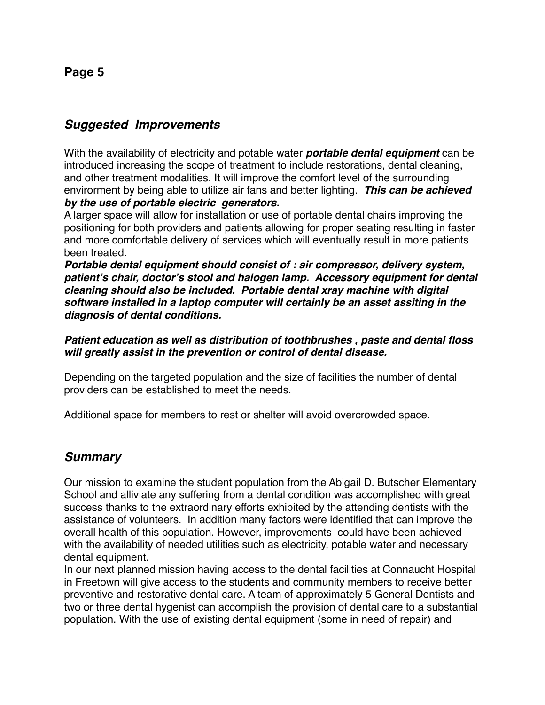#### *Suggested Improvements*

With the availability of electricity and potable water *portable dental equipment* can be introduced increasing the scope of treatment to include restorations, dental cleaning, and other treatment modalities. It will improve the comfort level of the surrounding envirorment by being able to utilize air fans and better lighting. *This can be achieved by the use of portable electric generators.*

A larger space will allow for installation or use of portable dental chairs improving the positioning for both providers and patients allowing for proper seating resulting in faster and more comfortable delivery of services which will eventually result in more patients been treated.

*Portable dental equipment should consist of : air compressor, delivery system, patient***'***s chair, doctor***'***s stool and halogen lamp. Accessory equipment for dental cleaning should also be included. Portable dental xray machine with digital software installed in a laptop computer will certainly be an asset assiting in the diagnosis of dental conditions.*

*Patient education as well as distribution of toothbrushes , paste and dental floss will greatly assist in the prevention or control of dental disease.*

Depending on the targeted population and the size of facilities the number of dental providers can be established to meet the needs.

Additional space for members to rest or shelter will avoid overcrowded space.

#### *Summary*

Our mission to examine the student population from the Abigail D. Butscher Elementary School and alliviate any suffering from a dental condition was accomplished with great success thanks to the extraordinary efforts exhibited by the attending dentists with the assistance of volunteers. In addition many factors were identified that can improve the overall health of this population. However, improvements could have been achieved with the availability of needed utilities such as electricity, potable water and necessary dental equipment.

In our next planned mission having access to the dental facilities at Connaucht Hospital in Freetown will give access to the students and community members to receive better preventive and restorative dental care. A team of approximately 5 General Dentists and two or three dental hygenist can accomplish the provision of dental care to a substantial population. With the use of existing dental equipment (some in need of repair) and